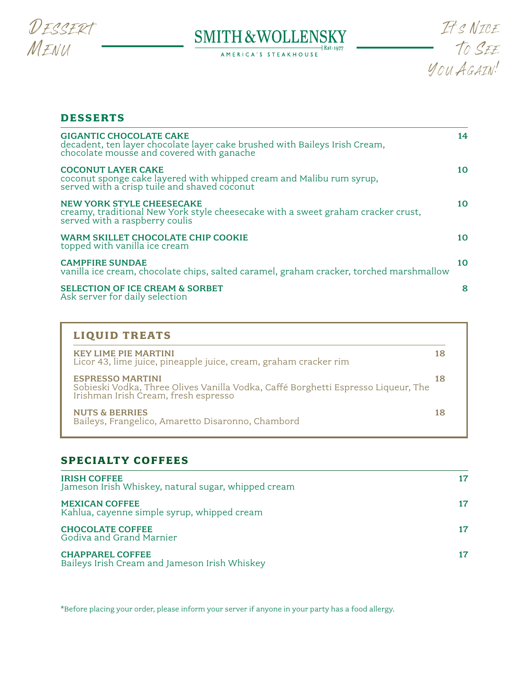

# $\underset{\scriptscriptstyle{\mathrm{AMERICA'S STEAKHOJSE}}} {\text{SMITH} \& \mathrm{WOLLENSS}^\mathrm{KY}_{\scriptscriptstyle{\mathrm{Est\text{-}1977}}}}$



## **DESSERTS**

| <b>GIGANTIC CHOCOLATE CAKE</b><br>decadent, ten layer chocolate layer cake brushed with Baileys Irish Cream,<br>chocolate mousse and covered with ganache | 14 |
|-----------------------------------------------------------------------------------------------------------------------------------------------------------|----|
| <b>COCONUT LAYER CAKE</b><br>coconut sponge cake layered with whipped cream and Malibu rum syrup,<br>served with a crisp tuile and shaved coconut         | 10 |
| <b>NEW YORK STYLE CHEESECAKE</b><br>creamy, traditional New York style cheesecake with a sweet graham cracker crust,<br>served with a raspberry coulis    | 10 |
| WARM SKILLET CHOCOLATE CHIP COOKIE<br>topped with vanilla ice cream                                                                                       | 10 |
| <b>CAMPFIRE SUNDAE</b><br>vanilla ice cream, chocolate chips, salted caramel, graham cracker, torched marshmallow                                         | 10 |
| <b>SELECTION OF ICE CREAM &amp; SORBET</b><br>Ask server for daily selection                                                                              | 8  |

| <b>LIQUID TREATS</b><br>KEY LIME PIE MARTINI<br>Licor 43, lime juice, pineapple juice, cream, graham cracker rim                                  | 18 |
|---------------------------------------------------------------------------------------------------------------------------------------------------|----|
| <b>ESPRESSO MARTINI</b><br>Sobieski Vodka, Three Olives Vanilla Vodka, Caffé Borghetti Espresso Liqueur, The Irishman Irish Cream, fresh espresso | 18 |
| <b>NUTS &amp; BERRIES</b><br>Baileys, Frangelico, Amaretto Disaronno, Chambord                                                                    | 18 |

# **SPECIALTY COFFEES**

| <b>IRISH COFFEE</b><br>Jameson Irish Whiskey, natural sugar, whipped cream |    |
|----------------------------------------------------------------------------|----|
| <b>MEXICAN COFFEE</b><br>Kahlua, cayenne simple syrup, whipped cream       |    |
| <b>CHOCOLATE COFFEE</b><br>Godiva and Grand Marnier                        | 17 |
| <b>CHAPPAREL COFFEE</b><br>Baileys Irish Cream and Jameson Irish Whiskey   |    |

\*Before placing your order, please inform your server if anyone in your party has a food allergy.